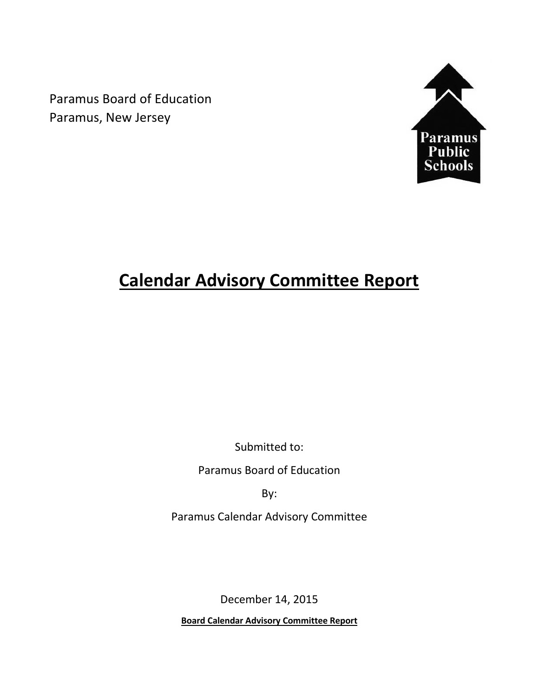Paramus Board of Education Paramus, New Jersey



# **Calendar Advisory Committee Report**

Submitted to:

Paramus Board of Education

By:

Paramus Calendar Advisory Committee

December 14, 2015

**Board Calendar Advisory Committee Report**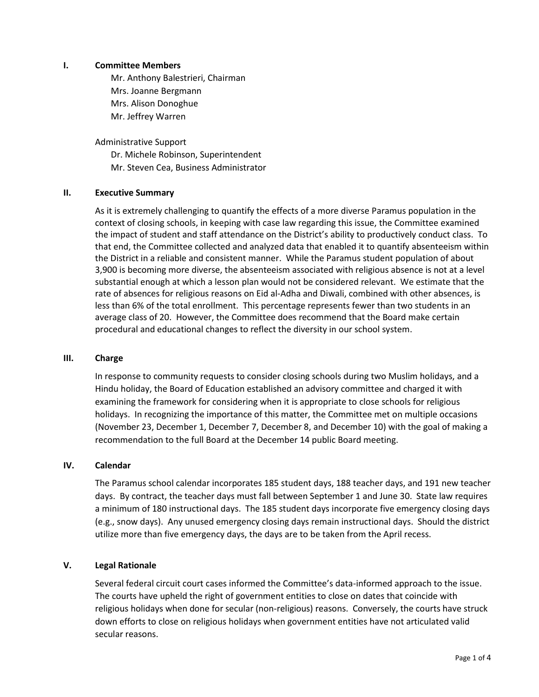## **I. Committee Members**

Mr. Anthony Balestrieri, Chairman Mrs. Joanne Bergmann Mrs. Alison Donoghue Mr. Jeffrey Warren

Administrative Support Dr. Michele Robinson, Superintendent Mr. Steven Cea, Business Administrator

## **II. Executive Summary**

As it is extremely challenging to quantify the effects of a more diverse Paramus population in the context of closing schools, in keeping with case law regarding this issue, the Committee examined the impact of student and staff attendance on the District's ability to productively conduct class. To that end, the Committee collected and analyzed data that enabled it to quantify absenteeism within the District in a reliable and consistent manner. While the Paramus student population of about 3,900 is becoming more diverse, the absenteeism associated with religious absence is not at a level substantial enough at which a lesson plan would not be considered relevant. We estimate that the rate of absences for religious reasons on Eid al-Adha and Diwali, combined with other absences, is less than 6% of the total enrollment. This percentage represents fewer than two students in an average class of 20. However, the Committee does recommend that the Board make certain procedural and educational changes to reflect the diversity in our school system.

### **III. Charge**

In response to community requests to consider closing schools during two Muslim holidays, and a Hindu holiday, the Board of Education established an advisory committee and charged it with examining the framework for considering when it is appropriate to close schools for religious holidays. In recognizing the importance of this matter, the Committee met on multiple occasions (November 23, December 1, December 7, December 8, and December 10) with the goal of making a recommendation to the full Board at the December 14 public Board meeting.

## **IV. Calendar**

The Paramus school calendar incorporates 185 student days, 188 teacher days, and 191 new teacher days. By contract, the teacher days must fall between September 1 and June 30. State law requires a minimum of 180 instructional days. The 185 student days incorporate five emergency closing days (e.g., snow days). Any unused emergency closing days remain instructional days. Should the district utilize more than five emergency days, the days are to be taken from the April recess.

# **V. Legal Rationale**

Several federal circuit court cases informed the Committee's data-informed approach to the issue. The courts have upheld the right of government entities to close on dates that coincide with religious holidays when done for secular (non-religious) reasons. Conversely, the courts have struck down efforts to close on religious holidays when government entities have not articulated valid secular reasons.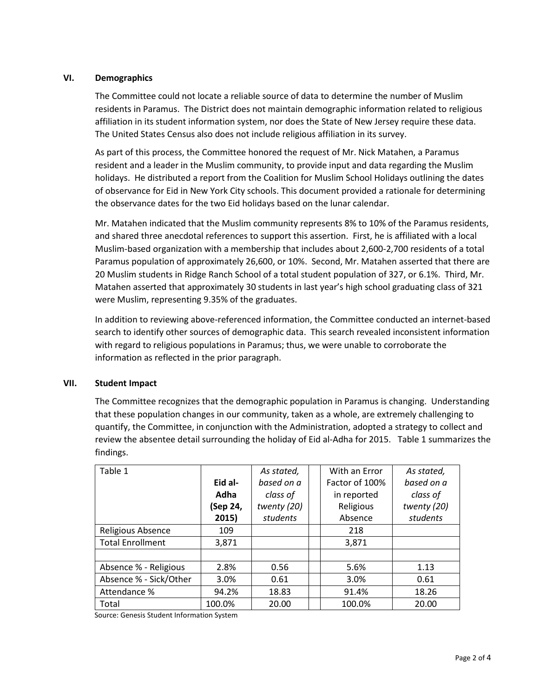# **VI. Demographics**

The Committee could not locate a reliable source of data to determine the number of Muslim residents in Paramus. The District does not maintain demographic information related to religious affiliation in its student information system, nor does the State of New Jersey require these data. The United States Census also does not include religious affiliation in its survey.

As part of this process, the Committee honored the request of Mr. Nick Matahen, a Paramus resident and a leader in the Muslim community, to provide input and data regarding the Muslim holidays. He distributed a report from the Coalition for Muslim School Holidays outlining the dates of observance for Eid in New York City schools. This document provided a rationale for determining the observance dates for the two Eid holidays based on the lunar calendar.

Mr. Matahen indicated that the Muslim community represents 8% to 10% of the Paramus residents, and shared three anecdotal references to support this assertion. First, he is affiliated with a local Muslim-based organization with a membership that includes about 2,600-2,700 residents of a total Paramus population of approximately 26,600, or 10%. Second, Mr. Matahen asserted that there are 20 Muslim students in Ridge Ranch School of a total student population of 327, or 6.1%. Third, Mr. Matahen asserted that approximately 30 students in last year's high school graduating class of 321 were Muslim, representing 9.35% of the graduates.

In addition to reviewing above-referenced information, the Committee conducted an internet-based search to identify other sources of demographic data. This search revealed inconsistent information with regard to religious populations in Paramus; thus, we were unable to corroborate the information as reflected in the prior paragraph.

### **VII. Student Impact**

The Committee recognizes that the demographic population in Paramus is changing. Understanding that these population changes in our community, taken as a whole, are extremely challenging to quantify, the Committee, in conjunction with the Administration, adopted a strategy to collect and review the absentee detail surrounding the holiday of Eid al-Adha for 2015. Table 1 summarizes the findings.

| Table 1                 |          | As stated,  | With an Error  | As stated,  |
|-------------------------|----------|-------------|----------------|-------------|
|                         | Eid al-  | based on a  | Factor of 100% | based on a  |
|                         | Adha     | class of    | in reported    | class of    |
|                         | (Sep 24, | twenty (20) | Religious      | twenty (20) |
|                         | 2015)    | students    | Absence        | students    |
| Religious Absence       | 109      |             | 218            |             |
| <b>Total Enrollment</b> | 3,871    |             | 3,871          |             |
|                         |          |             |                |             |
| Absence % - Religious   | 2.8%     | 0.56        | 5.6%           | 1.13        |
| Absence % - Sick/Other  | 3.0%     | 0.61        | 3.0%           | 0.61        |
| Attendance %            | 94.2%    | 18.83       | 91.4%          | 18.26       |
| Total                   | 100.0%   | 20.00       | 100.0%         | 20.00       |

Source: Genesis Student Information System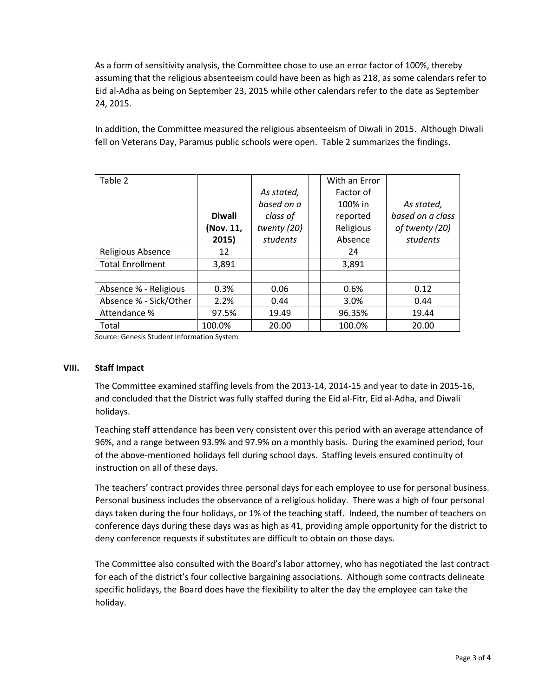As a form of sensitivity analysis, the Committee chose to use an error factor of 100%, thereby assuming that the religious absenteeism could have been as high as 218, as some calendars refer to Eid al-Adha as being on September 23, 2015 while other calendars refer to the date as September 24, 2015.

In addition, the Committee measured the religious absenteeism of Diwali in 2015. Although Diwali fell on Veterans Day, Paramus public schools were open. Table 2 summarizes the findings.

| Table 2                 |               |             | With an Error |                  |
|-------------------------|---------------|-------------|---------------|------------------|
|                         |               | As stated.  | Factor of     |                  |
|                         |               | based on a  | 100% in       | As stated,       |
|                         | <b>Diwali</b> | class of    | reported      | based on a class |
|                         | (Nov. 11,     | twenty (20) | Religious     | of twenty (20)   |
|                         | 2015)         | students    | Absence       | students         |
| Religious Absence       | 12            |             | 24            |                  |
| <b>Total Enrollment</b> | 3,891         |             | 3,891         |                  |
|                         |               |             |               |                  |
| Absence % - Religious   | 0.3%          | 0.06        | 0.6%          | 0.12             |
| Absence % - Sick/Other  | 2.2%          | 0.44        | 3.0%          | 0.44             |
| Attendance %            | 97.5%         | 19.49       | 96.35%        | 19.44            |
| Total                   | 100.0%        | 20.00       | 100.0%        | 20.00            |
|                         |               |             |               |                  |

Source: Genesis Student Information System

### **VIII. Staff Impact**

The Committee examined staffing levels from the 2013-14, 2014-15 and year to date in 2015-16, and concluded that the District was fully staffed during the Eid al-Fitr, Eid al-Adha, and Diwali holidays.

Teaching staff attendance has been very consistent over this period with an average attendance of 96%, and a range between 93.9% and 97.9% on a monthly basis. During the examined period, four of the above-mentioned holidays fell during school days. Staffing levels ensured continuity of instruction on all of these days.

The teachers' contract provides three personal days for each employee to use for personal business. Personal business includes the observance of a religious holiday. There was a high of four personal days taken during the four holidays, or 1% of the teaching staff. Indeed, the number of teachers on conference days during these days was as high as 41, providing ample opportunity for the district to deny conference requests if substitutes are difficult to obtain on those days.

The Committee also consulted with the Board's labor attorney, who has negotiated the last contract for each of the district's four collective bargaining associations. Although some contracts delineate specific holidays, the Board does have the flexibility to alter the day the employee can take the holiday.